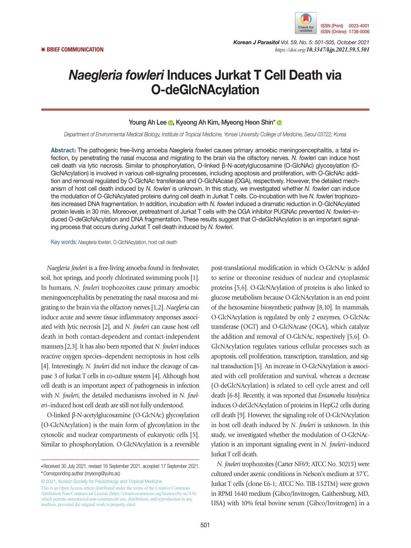

*Korean J Parasitol Vol. 59, No. 5: 501-505, October 2021* ▣ **BRIEF COMMUNICATION** *https://doi.org/10.3347/kjp.2021.59.5.501*

# *Naegleria fowleri* Induces Jurkat T Cell Death via O-deGlcNAcylation

### Young Ah Lee **D**, Kyeong Ah Kim, Myeong Heon Shin<sup>[\\*](https://orcid.org/0000-0001-8207-6110)</sup> D

*Department of Environmental Medical Biology, Institute of Tropical Medicine, Yonsei University College of Medicine, Seoul 03722, Korea*

**Abstract:** The pathogenic free-living amoeba *Naegleria fowleri* causes primary amoebic meningoencephalitis, a fatal infection, by penetrating the nasal mucosa and migrating to the brain via the olfactory nerves. *N. fowleri* can induce host cell death via lytic necrosis. Similar to phosphorylation, O-linked β-N-acetylglucosamine (O-GlcNAc) glycosylation (O-GlcNAcylation) is involved in various cell-signaling processes, including apoptosis and proliferation, with O-GlcNAc addition and removal regulated by O-GlcNAc transferase and O-GlcNAcase (OGA), respectively. However, the detailed mechanism of host cell death induced by *N. fowleri* is unknown. In this study, we investigated whether *N. fowleri* can induce the modulation of O-GlcNAcylated proteins during cell death in Jurkat T cells. Co-incubation with live *N. fowleri* trophozoites increased DNA fragmentation. In addition, incubation with *N. fowleri* induced a dramatic reduction in O-GlcNAcylated protein levels in 30 min. Moreover, pretreatment of Jurkat T cells with the OGA inhibitor PUGNAc prevented *N. fowleri*–induced O-deGlcNAcylation and DNA fragmentation. These results suggest that O-deGlcNAcylation is an important signaling process that occurs during Jurkat T cell death induced by *N. fowleri*.

Key words: *Naegleria fowleri*, O-GlcNAcylation, host cell death

*Naegleria fowleri* is a free-living amoeba found in freshwater, soil, hot springs, and poorly chlorinated swimming pools [1]. In humans, *N. fowleri* trophozoites cause primary amoebic meningoencephalitis by penetrating the nasal mucosa and migrating to the brain via the olfactory nerves [1,2]. *Naegleria* can induce acute and severe tissue inflammatory responses associated with lytic necrosis [2], and *N. fowleri* can cause host cell death in both contact-dependent and contact-independent manners [2,3]. It has also been reported that *N. fowleri* induces reactive oxygen species–dependent necroptosis in host cells [4]. Interestingly, *N. fowleri* did not induce the cleavage of caspase 3 of Jurkat T cells in co-culture system [4]. Although host cell death is an important aspect of pathogenesis in infection with *N. fowleri*, the detailed mechanisms involved in *N. fowleri*–induced host cell death are still not fully understood.

O-linked β-N-acetylglucosamine (O-GlcNAc) glycosylation (O-GlcNAcylation) is the main form of glycosylation in the cytosolic and nuclear compartments of eukaryotic cells [5]. Similar to phosphorylation, O-GlcNAcylation is a reversible

© 2021, Korean Society for Parasitology and Tropical Medicine This is an Open Access article distributed under the terms of the Creative Commons Attribution Non-Commercial License (https://creativecommons.org/licenses/by-nc/4.0) which permits unrestricted non-commercial use, distribution, and reproduction in any medium, provided the original work is properly cited.

post-translational modification in which O-GlcNAc is added to serine or threonine residues of nuclear and cytoplasmic proteins [5,6]. O-GlcNAcylation of proteins is also linked to glucose metabolism because O-GlcNAcylation is an end point of the hexosamine biosynthetic pathway [8,10]. In mammals, O-GlcNAcylation is regulated by only 2 enzymes, O-GlcNAc transferase (OGT) and O-GlcNAcase (OGA), which catalyze the addition and removal of O-GlcNAc, respectively [5,6]. O-GlcNAcylation regulates various cellular processes such as apoptosis, cell proliferation, transcription, translation, and signal transduction [5]. An increase in O-GlcNAcylation is associated with cell proliferation and survival, whereas a decrease (O-deGlcNAcylation) is related to cell cycle arrest and cell death [6-8]. Recently, it was reported that *Entamoeba histolytica* induces O-deGlcNAcylation of proteins in HepG2 cells during cell death [9]. However, the signaling role of O-GlcNAcylation in host cell death induced by *N. fowleri* is unknown. In this study, we investigated whether the modulation of O-GlcNAcylation is an important signaling event in *N. fowleri*–induced Jurkat T cell death.

*N. fowleri* trophozoites (Carter NF69; ATCC No. 30215) were cultured under axenic conditions in Nelson's medium at 37˚C. Jurkat T cells (clone E6-1; ATCC No. TIB-152TM) were grown in RPMI 1640 medium (Gibco/Invitrogen, Gaithersburg, MD, USA) with 10% fetal bovine serum (Gibco/Invitrogen) in a

**<sup>•</sup>**Received 30 July 2021, revised 16 September 2021, accepted 17 September 2021. **\***Corresponding author (myeong@yuhs.ac)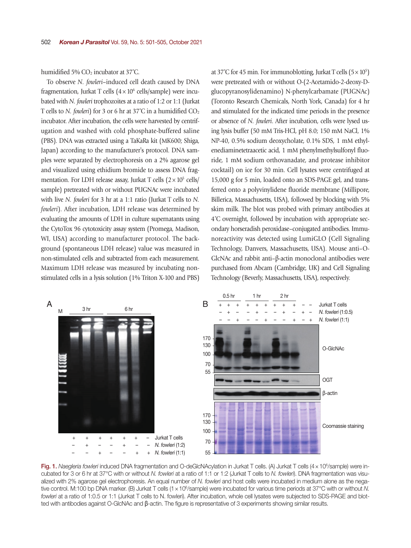humidified 5%  $CO<sub>2</sub>$  incubator at 37°C.

To observe *N. fowleri*–induced cell death caused by DNA fragmentation, Jurkat T cells  $(4 \times 10^6 \text{ cells/sample})$  were incubated with *N. fowleri* trophozoites at a ratio of 1:2 or 1:1 (Jurkat T cells to *N. fowleri*) for 3 or 6 hr at  $37^{\circ}$ C in a humidified CO<sub>2</sub> incubator. After incubation, the cells were harvested by centrifugation and washed with cold phosphate-buffered saline (PBS). DNA was extracted using a TaKaRa kit (MK600; Shiga, Japan) according to the manufacturer's protocol. DNA samples were separated by electrophoresis on a 2% agarose gel and visualized using ethidium bromide to assess DNA fragmentation. For LDH release assay, Jurkat T cells  $(2 \times 10^5 \text{ cells})$ sample) pretreated with or without PUGNAc were incubated with live *N. fowleri* for 3 hr at a 1:1 ratio (Jurkat T cells to *N. fowleri*). After incubation, LDH release was determined by evaluating the amounts of LDH in culture supernatants using the CytoTox 96 cytotoxicity assay system (Promega, Madison, WI, USA) according to manufacturer protocol. The background (spontaneous LDH release) value was measured in non-stimulated cells and subtracted from each measurement. Maximum LDH release was measured by incubating nonstimulated cells in a lysis solution (1% Triton X-100 and PBS)

at 37°C for 45 min. For immunoblotting, Jurkat T cells  $(5 \times 10^5)$ were pretreated with or without O-(2-Acetamido-2-deoxy-Dglucopyranosylidenamino) N-phenylcarbamate (PUGNAc) (Toronto Research Chemicals, North York, Canada) for 4 hr and stimulated for the indicated time periods in the presence or absence of *N. fowleri*. After incubation, cells were lysed using lysis buffer (50 mM Tris-HCl, pH 8.0; 150 mM NaCl, 1% NP-40, 0.5% sodium deoxycholate, 0.1% SDS, 1 mM ethylenediaminetetraacetic acid, 1 mM phenylmethylsulfonyl fluoride, 1 mM sodium orthovanadate, and protease inhibitor cocktail) on ice for 30 min. Cell lysates were centrifuged at 15,000 g for 5 min, loaded onto an SDS-PAGE gel, and transferred onto a polyvinylidene fluoride membrane (Millipore, Billerica, Massachusetts, USA), followed by blocking with 5% skim milk. The blot was probed with primary antibodies at 4˚C overnight, followed by incubation with appropriate secondary horseradish peroxidase–conjugated antibodies. Immunoreactivity was detected using LumiGLO (Cell Signaling Technology, Danvers, Massachusetts, USA). Mouse anti–O-GlcNAc and rabbit anti–β-actin monoclonal antibodies were purchased from Abcam (Cambridge, UK) and Cell Signaling Technology (Beverly, Massachusetts, USA), respectively.



Fig. 1. Naegleria fowleri induced DNA fragmentation and O-deGlcNAcylation in Jurkat T cells. (A) Jurkat T cells (4 x 10<sup>6</sup>/sample) were incubated for 3 or 6 hr at 37°C with or without *N. fowleri* at a ratio of 1:1 or 1:2 (Jurkat T cells to *N. fowleri*). DNA fragmentation was visualized with 2% agarose gel electrophoresis. An equal number of *N. fowleri* and host cells were incubated in medium alone as the negative control. M:100 bp DNA marker. (B) Jurkat T cells (1 x 10<sup>6</sup>/sample) were incubated for various time periods at 37°C with or without N. *fowleri* at a ratio of 1:0.5 or 1:1 (Jurkat T cells to N. fowleri). After incubation, whole cell lysates were subjected to SDS-PAGE and blotted with antibodies against O-GlcNAc and β-actin. The figure is representative of 3 experiments showing similar results.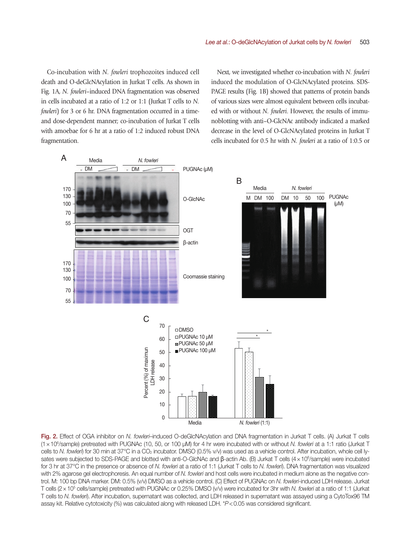Co-incubation with *N. fowleri* trophozoites induced cell death and O-deGlcNAcylation in Jurkat T cells. As shown in Fig. 1A, *N. fowleri*–induced DNA fragmentation was observed in cells incubated at a ratio of 1:2 or 1:1 (Jurkat T cells to *N. fowleri*) for 3 or 6 hr. DNA fragmentation occurred in a timeand dose-dependent manner; co-incubation of Jurkat T cells with amoebae for 6 hr at a ratio of 1:2 induced robust DNA fragmentation.

Next, we investigated whether co-incubation with *N. fowleri* induced the modulation of O-GlcNAcylated proteins. SDS-PAGE results (Fig. 1B) showed that patterns of protein bands of various sizes were almost equivalent between cells incubated with or without *N. fowleri*. However, the results of immunoblotting with anti–O-GlcNAc antibody indicated a marked decrease in the level of O-GlcNAcylated proteins in Jurkat T cells incubated for 0.5 hr with *N. fowleri* at a ratio of 1:0.5 or



Fig. 2. Effect of OGA inhibitor on *N. fowleri*–induced O-deGlcNAcylation and DNA fragmentation in Jurkat T cells. (A) Jurkat T cells (1×106 /sample) pretreated with PUGNAc (10, 50, or 100 µM) for 4 hr were incubated with or without *N. fowleri* at a 1:1 ratio (Jurkat T cells to *N. fowleri*) for 30 min at 37°C in a CO<sub>2</sub> incubator. DMSO (0.5% v/v) was used as a vehicle control. After incubation, whole cell lysates were subjected to SDS-PAGE and blotted with anti-O-GlcNAc and β-actin Ab. (B) Jurkat T cells (4×10<sup>6</sup>/sample) were incubated for 3 hr at 37°C in the presence or absence of *N. fowleri* at a ratio of 1:1 (Jurkat T cells to *N. fowleri*). DNA fragmentation was visualized with 2% agarose gel electrophoresis. An equal number of *N. fowleri* and host cells were incubated in medium alone as the negative control. M: 100 bp DNA marker. DM: 0.5% (v/v) DMSO as a vehicle control. (C) Effect of PUGNAc on *N. fowleri*-induced LDH release. Jurkat T cells (2 × 10<sup>5</sup> cells/sample) pretreated with PUGNAc or 0.25% DMSO (v/v) were incubated for 3hr with *N. fowleri* at a ratio of 1:1 (Jurkat T cells to *N. fowleri*). After incubation, supernatant was collected, and LDH released in supernatant was assayed using a CytoTox96 TM assay kit. Relative cytotoxicity (%) was calculated along with released LDH. \**P*<0.05 was considered significant.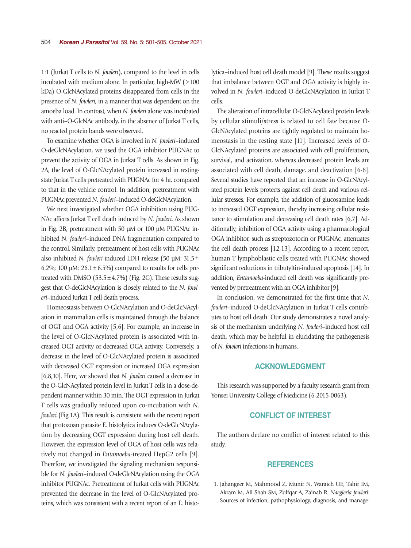1:1 (Jurkat T cells to *N. fowleri*), compared to the level in cells incubated with medium alone. In particular, high-MW (>100 kDa) O-GlcNAcylated proteins disappeared from cells in the presence of *N. fowleri*, in a manner that was dependent on the amoeba load. In contrast, when *N. fowleri* alone was incubated with anti–O-GlcNAc antibody, in the absence of Jurkat T cells, no reacted protein bands were observed.

To examine whether OGA is involved in *N. fowleri*–induced O-deGlcNAcylation, we used the OGA inhibitor PUGNAc to prevent the activity of OGA in Jurkat T cells. As shown in Fig. 2A, the level of O-GlcNAcylated protein increased in restingstate Jurkat T cells pretreated with PUGNAc for 4 hr, compared to that in the vehicle control. In addition, pretreatment with PUGNAc prevented *N. fowleri*–induced O-deGlcNAcylation.

We next investigated whether OGA inhibition using PUG-NAc affects Jurkat T cell death induced by *N. fowleri*. As shown in Fig. 2B, pretreatment with 50 µM or 100 µM PUGNAc inhibited *N. fowleri*–induced DNA fragmentation compared to the control. Similarly, pretreatment of host cells with PUGNAc also inhibited *N. fowleri*-induced LDH release (50 µM: 31.5± 6.2%; 100  $\mu$ M: 26.1 ± 6.5%) compared to results for cells pretreated with DMSO ( $53.5 \pm 4.7\%$ ) (Fig. 2C). These results suggest that O-deGlcNAcylation is closely related to the *N. fowleri*–induced Jurkat T cell death process.

Homeostasis between O-GlcNAcylation and O-deGlcNAcylation in mammalian cells is maintained through the balance of OGT and OGA activity [5,6]. For example, an increase in the level of O-GlcNAcylated protein is associated with increased OGT activity or decreased OGA activity. Conversely, a decrease in the level of O-GlcNAcylated protein is associated with decreased OGT expression or increased OGA expression [6,8,10]. Here, we showed that *N. fowleri* caused a decrease in the O-GlcNAcylated protein level in Jurkat T cells in a dose-dependent manner within 30 min. The OGT expression in Jurkat T cells was gradually reduced upon co-incubation with *N. fowleri* (Fig.1A). This result is consistent with the recent report that protozoan parasite E. histolytica induces O-deGlcNAcylation by decreasing OGT expression during host cell death. However, the expression level of OGA of host cells was relatively not changed in *Entamoeba*-treated HepG2 cells [9]. Therefore, we investigated the signaling mechanism responsible for *N. fowleri*–induced O-deGlcNAcylation using the OGA inhibitor PUGNAc. Pretreatment of Jurkat cells with PUGNAc prevented the decrease in the level of O-GlcNAcylated proteins, which was consistent with a recent report of an E. histolytica–induced host cell death model [9]. These results suggest that imbalance between OGT and OGA activity is highly involved in *N. fowleri*–induced O-deGlcNAcylation in Jurkat T cells.

The alteration of intracellular O-GlcNAcylated protein levels by cellular stimuli/stress is related to cell fate because O-GlcNAcylated proteins are tightly regulated to maintain homeostasis in the resting state [11]. Increased levels of O-GlcNAcylated proteins are associated with cell proliferation, survival, and activation, whereas decreased protein levels are associated with cell death, damage, and deactivation [6-8]. Several studies have reported that an increase in O-GlcNAcylated protein levels protects against cell death and various cellular stresses. For example, the addition of glucosamine leads to increased OGT expression, thereby increasing cellular resistance to stimulation and decreasing cell death rates [6,7]. Additionally, inhibition of OGA activity using a pharmacological OGA inhibitor, such as streptozotocin or PUGNAc, attenuates the cell death process [12,13]. According to a recent report, human T lymphoblastic cells treated with PUGNAc showed significant reductions in tributyltin-induced apoptosis [14]. In addition, *Entamoeba*-induced cell death was significantly prevented by pretreatment with an OGA inhibitor [9].

In conclusion, we demonstrated for the first time that *N. fowleri*–induced O-deGlcNAcylation in Jurkat T cells contributes to host cell death. Our study demonstrates a novel analysis of the mechanism underlying *N. fowleri*–induced host cell death, which may be helpful in elucidating the pathogenesis of *N. fowleri* infections in humans.

## ACKNOWLEDGMENT

This research was supported by a faculty research grant from Yonsei University College of Medicine (6-2015-0063).

# CONFLICT OF INTEREST

The authors declare no conflict of interest related to this study.

#### **REFERENCES**

1. Jahangeer M, Mahmood Z, Munir N, Waraich UE, Tahir IM, Akram M, Ali Shah SM, Zulfqar A, Zainab R. *Naegleria fowleri*: Sources of infection, pathophysiology, diagnosis, and manage-